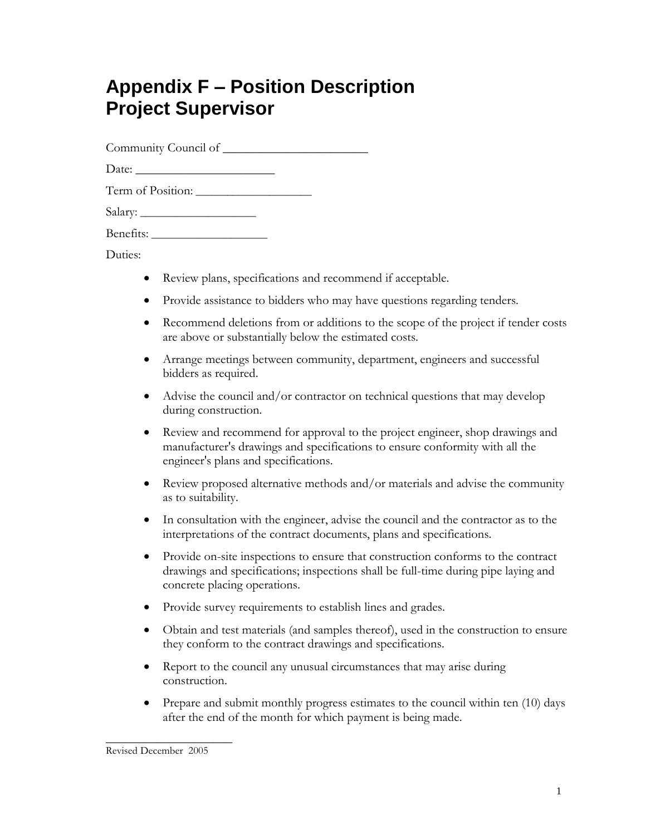# **Appendix F – Position Description Project Supervisor**

Community Council of \_\_\_\_\_\_\_\_\_\_\_\_\_\_\_\_\_\_\_\_\_\_\_

Date:

| Term of Position: |  |
|-------------------|--|
|-------------------|--|

Salary: \_\_\_\_\_\_\_\_\_\_\_\_\_\_\_\_\_\_\_\_\_\_

Benefits: \_\_\_\_\_\_\_\_\_\_\_\_\_\_\_\_\_\_\_\_\_\_

Duties:

- Review plans, specifications and recommend if acceptable.
- Provide assistance to bidders who may have questions regarding tenders.
- Recommend deletions from or additions to the scope of the project if tender costs are above or substantially below the estimated costs.
- Arrange meetings between community, department, engineers and successful bidders as required.
- Advise the council and/or contractor on technical questions that may develop during construction.
- Review and recommend for approval to the project engineer, shop drawings and manufacturer's drawings and specifications to ensure conformity with all the engineer's plans and specifications.
- Review proposed alternative methods and/or materials and advise the community as to suitability.
- In consultation with the engineer, advise the council and the contractor as to the interpretations of the contract documents, plans and specifications.
- Provide on-site inspections to ensure that construction conforms to the contract drawings and specifications; inspections shall be full-time during pipe laying and concrete placing operations.
- Provide survey requirements to establish lines and grades.
- Obtain and test materials (and samples thereof), used in the construction to ensure they conform to the contract drawings and specifications.
- Report to the council any unusual circumstances that may arise during construction.
- Prepare and submit monthly progress estimates to the council within ten (10) days after the end of the month for which payment is being made.

\_\_\_\_\_\_\_\_\_\_\_\_\_\_\_\_\_\_\_\_

Revised December 2005